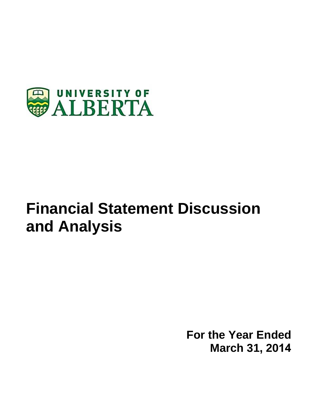

# **Financial Statement Discussion and Analysis**

**For the Year Ended March 31, 2014**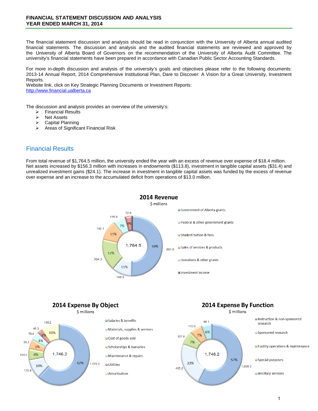The financial statement discussion and analysis should be read in conjunction with the University of Alberta annual audited financial statements. The discussion and analysis and the audited financial statements are reviewed and approved by the University of Alberta Board of Governors on the recommendation of the University of Alberta Audit Committee. The university's financial statements have been prepared in accordance with Canadian Public Sector Accounting Standards.

For more in-depth discussion and analysis of the university's goals and objectives please refer to the following documents: 2013-14 Annual Report, 2014 Comprehensive Institutional Plan, Dare to Discover: A Vision for a Great University, Investment Reports.

Website link, click on Key Strategic Planning Documents or Investment Reports: http://www.financial.ualberta.ca

The discussion and analysis provides an overview of the university's:

- $\triangleright$  Financial Results<br> $\triangleright$  Net Assets
- Net Assets
- $\triangleright$  Capital Planning<br> $\triangleright$  Areas of Significal
- Areas of Significant Financial Risk

### Financial Results

From total revenue of \$1,764.5 million, the university ended the year with an excess of revenue over expense of \$18.4 million. Net assets increased by \$156.3 million with increases in endowments (\$113.8), investment in tangible capital assets (\$31.4) and unrealized investment gains (\$24.1). The increase in investment in tangible capital assets was funded by the excess of revenue over expense and an increase to the accumulated deficit from operations of \$13.0 million.



2014 Expense By Object



# **2014 Expense By Function**

\$ millions

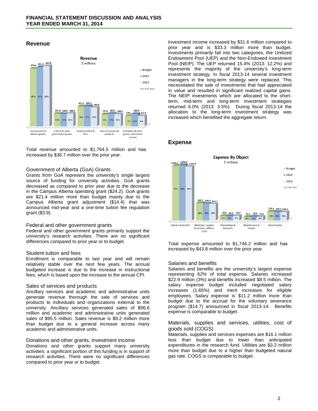#### **Revenue**



Total revenue amounted to \$1,764.5 million and has increased by \$36.7 million over the prior year.

#### Government of Alberta (GoA) Grants

Grants from GoA represent the university's single largest source of funding for university activities. GoA grants decreased as compared to prior year due to the decrease in the Campus Alberta operating grant (\$24.2). GoA grants are \$21.4 million more than budget mainly due to the Campus Alberta grant adjustment (\$14.4) that was announced mid-year and a one-time tuition fee regulation grant (\$3.9).

#### Federal and other government grants

Federal and other government grants primarily support the university's research activities. There are no significant differences compared to prior year or to budget.

#### Student tuition and fees

Enrollment is comparable to last year and will remain relatively stable over the next few years. The annual budgeted increase is due to the increase in instructional fees, which is based upon the increase to the annual CPI.

#### Sales of services and products

Ancillary services and academic and administrative units generate revenue thorough the sale of services and products to individuals and organizations external to the university. Ancillary services generated sales of \$96.6 million and academic and administrative units generated sales of \$95.5 million. Sales revenue is \$9.2 million more than budget due to a general increase across many academic and administrative units.

#### Donations and other grants, investment income

Donations and other grants support many university activities; a significant portion of this funding is in support of research activities. There were no significant differences compared to prior year or to budget.

Investment income increased by \$31.6 million compared to prior year and is \$33.3 million more than budget. Investments primarily fall into two categories, the Unitized Endowment Pool (UEP) and the Non-Endowed Investment Pool (NEIP). The UEP returned 15.4% (2013: 12.2%) and represents the majority of the university's long-term investment strategy. In fiscal 2013-14 several investment managers in the long-term strategy were replaced. This necessitated the sale of investments that had appreciated in value and resulted in significant realized capital gains. The NEIP investments which are allocated to the shortterm, mid-term and long-term investment strategies returned 6.0% (2013: 3.5%). During fiscal 2013-14 the allocation to the long-term investment strategy was increased which benefited the aggregate return.

#### **Expense**



Total expense amounted to \$1,746.2 million and has increased by \$43.8 million over the prior year.

#### Salaries and benefits

Salaries and benefits are the university's largest expense representing 62% of total expense. Salaries increased \$22.9 million (3%) and benefits increased \$8.5 million. The salary expense budget included negotiated salary increases (1.65%) and merit increases for eligible employees. Salary expense is \$11.2 million more than budget due to the accrual for the voluntary severance program (\$14.7) announced in fiscal 2013-14. Benefits expense is comparable to budget.

#### Materials, supplies and services, utilities, cost of goods sold (COGS)

Materials, supplies and services expenses are \$16.1 million less than budget due to lower than anticipated expenditures in the research fund. Utilities are \$3.2 million more than budget due to a higher than budgeted natural gas rate. COGS is comparable to budget.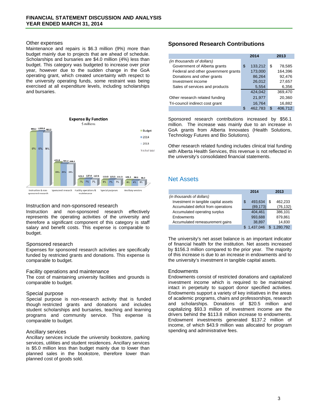#### Other expenses

Maintenance and repairs is \$6.3 million (9%) more than budget mainly due to projects that are ahead of schedule. Scholarships and bursaries are \$4.0 million (4%) less than budget. This category was budgeted to increase over prior year, however due to the sudden change in the GoA operating grant, which created uncertainty with respect to the university operating funds, some restraint was being exercised at all expenditure levels, including scholarships and bursaries.



#### Instruction and non-sponsored research

Instruction and non-sponsored research effectively represents the operating activities of the university and therefore a significant component of this category is staff salary and benefit costs. This expense is comparable to budget.

#### Sponsored research

Expenses for sponsored research activities are specifically funded by restricted grants and donations. This expense is comparable to budget.

#### Facility operations and maintenance

The cost of maintaining university facilities and grounds is comparable to budget.

#### Special purpose

Special purpose is non-research activity that is funded though restricted grants and donations and includes student scholarships and bursaries, teaching and learning programs and community service. This expense is comparable to budget.

#### Ancillary services

Ancillary services include the university bookstore, parking services, utilities and student residences. Ancillary services is \$5.0 million less than budget mainly due to lower than planned sales in the bookstore, therefore lower than planned cost of goods sold.

## **Sponsored Research Contributions**

|                                     | 2014 |         | 2013 |         |
|-------------------------------------|------|---------|------|---------|
| (in thousands of dollars)           |      |         |      |         |
| Government of Alberta grants        | \$   | 133,212 | S    | 78,585  |
| Federal and other government grants |      | 173,000 |      | 164.396 |
| Donations and other grants          |      | 86,264  |      | 92,476  |
| Investment income                   |      | 26,012  |      | 27,657  |
| Sales of services and products      |      | 5,554   |      | 6,356   |
|                                     |      | 424,042 |      | 369,470 |
| Other research related funding      |      | 21,977  |      | 20,360  |
| Tri-council indirect cost grant     |      | 16,764  |      | 16,882  |
|                                     |      | 462,783 | ß.   | 406.712 |

Sponsored research contributions increased by \$56.1 million. The increase was mainly due to an increase in GoA grants from Alberta Innovates (Health Solutions, Technology Futures and Bio Solutions).

Other research related funding includes clinical trial funding with Alberta Health Services, this revenue is not reflected in the university's consolidated financial statements.

# Net Assets

|                                       | 2014          | 2013      |  |
|---------------------------------------|---------------|-----------|--|
| (in thousands of dollars)             |               |           |  |
| Investment in tangible capital assets | 493,634<br>\$ | 462,233   |  |
| Accumulated deficit from operations   | (89, 173)     | (76, 132) |  |
| Accumulated operating surplus         | 404.461       | 386,101   |  |
| Endowments                            | 993,688       | 879,861   |  |
| Accumulated remeasurement gains       | 38,897        | 14,830    |  |
|                                       | 1.437.046     | .280.792  |  |

The university's net asset balance is an important indicator of financial health for the institution. Net assets increased by \$156.3 million compared to the prior year. The majority of this increase is due to an increase in endowments and to the university's investment in tangible capital assets.

#### **Endowments**

Endowments consist of restricted donations and capitalized investment income which is required to be maintained intact in perpetuity to support donor specified activities. Endowments support a variety of key initiatives in the areas of academic programs, chairs and professorships, research and scholarships. Donations of \$20.5 million and capitalizing \$93.3 million of investment income are the drivers behind the \$113.8 million increase to endowments. Endowment investments generated \$137.2 million of income, of which \$43.9 million was allocated for program spending and administrative fees.